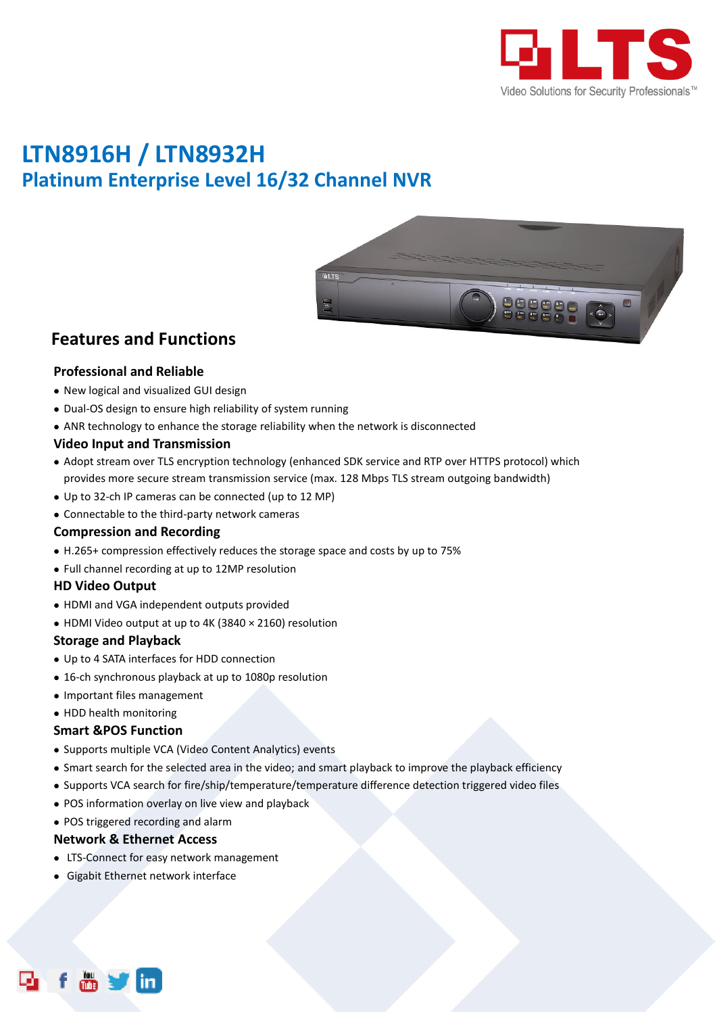

# **LTN8916H / LTN8932H Platinum Enterprise Level 16/32 Channel NVR**



### **Features and Functions**

#### **Professional and Reliable**

- New logical and visualized GUI design
- Dual-OS design to ensure high reliability of system running
- ANR technology to enhance the storage reliability when the network is disconnected

#### **Video Input and Transmission**

- Adopt stream over TLS encryption technology (enhanced SDK service and RTP over HTTPS protocol) which provides more secure stream transmission service (max. 128 Mbps TLS stream outgoing bandwidth)
- Up to 32-ch IP cameras can be connected (up to 12 MP)
- Connectable to the third-party network cameras

#### **Compression and Recording**

- H.265+ compression effectively reduces the storage space and costs by up to 75%
- Full channel recording at up to 12MP resolution

#### **HD Video Output**

- HDMI and VGA independent outputs provided
- HDMI Video output at up to 4K (3840 × 2160) resolution

#### **Storage and Playback**

- Up to 4 SATA interfaces for HDD connection
- 16-ch synchronous playback at up to 1080p resolution
- Important files management
- HDD health monitoring

#### **Smart &POS Function**

- Supports multiple VCA (Video Content Analytics) events
- Smart search for the selected area in the video; and smart playback to improve the playback efficiency
- Supports VCA search for fire/ship/temperature/temperature difference detection triggered video files
- POS information overlay on live view and playback

#### POS triggered recording and alarm

#### **Network & Ethernet Access**

- LTS-Connect for easy network management
- Gigabit Ethernet network interface

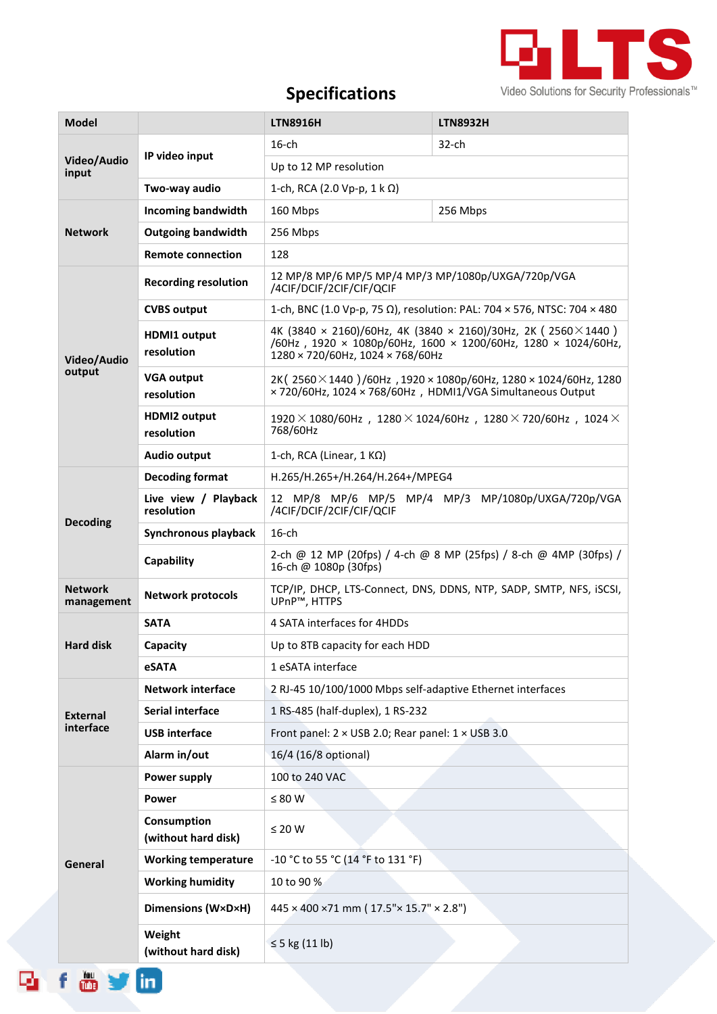

## **Specifications**

| <b>Model</b>                 |                                    | <b>LTN8916H</b>                                                                                                                                                            | <b>LTN8932H</b> |  |
|------------------------------|------------------------------------|----------------------------------------------------------------------------------------------------------------------------------------------------------------------------|-----------------|--|
| Video/Audio<br>input         | IP video input                     | $16$ -ch                                                                                                                                                                   | $32$ -ch        |  |
|                              |                                    | Up to 12 MP resolution                                                                                                                                                     |                 |  |
|                              | Two-way audio                      | 1-ch, RCA (2.0 Vp-p, 1 k Ω)                                                                                                                                                |                 |  |
| <b>Network</b>               | <b>Incoming bandwidth</b>          | 160 Mbps                                                                                                                                                                   | 256 Mbps        |  |
|                              | <b>Outgoing bandwidth</b>          | 256 Mbps                                                                                                                                                                   |                 |  |
|                              | <b>Remote connection</b>           | 128                                                                                                                                                                        |                 |  |
| Video/Audio<br>output        | <b>Recording resolution</b>        | 12 MP/8 MP/6 MP/5 MP/4 MP/3 MP/1080p/UXGA/720p/VGA<br>/4CIF/DCIF/2CIF/CIF/QCIF                                                                                             |                 |  |
|                              | <b>CVBS output</b>                 | 1-ch, BNC (1.0 Vp-p, 75 Ω), resolution: PAL: 704 × 576, NTSC: 704 × 480                                                                                                    |                 |  |
|                              | <b>HDMI1 output</b><br>resolution  | 4K (3840 × 2160)/60Hz, 4K (3840 × 2160)/30Hz, 2K (2560 $\times$ 1440)<br>/60Hz, 1920 × 1080p/60Hz, 1600 × 1200/60Hz, 1280 × 1024/60Hz,<br>1280 × 720/60Hz, 1024 × 768/60Hz |                 |  |
|                              | <b>VGA output</b><br>resolution    | 2K (2560 $\times$ 1440)/60Hz, 1920 $\times$ 1080p/60Hz, 1280 $\times$ 1024/60Hz, 1280<br>×720/60Hz, 1024 × 768/60Hz, HDMI1/VGA Simultaneous Output                         |                 |  |
|                              | <b>HDMI2 output</b><br>resolution  | $1920 \times 1080/60$ Hz, $1280 \times 1024/60$ Hz, $1280 \times 720/60$ Hz, $1024 \times$<br>768/60Hz                                                                     |                 |  |
|                              | Audio output                       | 1-ch, RCA (Linear, $1 K\Omega$ )                                                                                                                                           |                 |  |
|                              | <b>Decoding format</b>             | H.265/H.265+/H.264/H.264+/MPEG4                                                                                                                                            |                 |  |
| <b>Decoding</b>              | Live view / Playback<br>resolution | 12 MP/8 MP/6 MP/5 MP/4 MP/3 MP/1080p/UXGA/720p/VGA<br>/4CIF/DCIF/2CIF/CIF/QCIF                                                                                             |                 |  |
|                              | Synchronous playback               | $16$ -ch                                                                                                                                                                   |                 |  |
|                              | Capability                         | 2-ch @ 12 MP (20fps) / 4-ch @ 8 MP (25fps) / 8-ch @ 4MP (30fps) /<br>16-ch @ 1080p (30fps)                                                                                 |                 |  |
| <b>Network</b><br>management | <b>Network protocols</b>           | TCP/IP, DHCP, LTS-Connect, DNS, DDNS, NTP, SADP, SMTP, NFS, iSCSI,<br>UPnP™, HTTPS                                                                                         |                 |  |
|                              | <b>SATA</b>                        | 4 SATA interfaces for 4HDDs                                                                                                                                                |                 |  |
| <b>Hard disk</b>             | Capacity                           | Up to 8TB capacity for each HDD                                                                                                                                            |                 |  |
|                              | <b>eSATA</b>                       | 1 eSATA interface                                                                                                                                                          |                 |  |
| <b>External</b><br>interface | <b>Network interface</b>           | 2 RJ-45 10/100/1000 Mbps self-adaptive Ethernet interfaces                                                                                                                 |                 |  |
|                              | Serial interface                   | 1 RS-485 (half-duplex), 1 RS-232                                                                                                                                           |                 |  |
|                              | <b>USB</b> interface               | Front panel: 2 × USB 2.0; Rear panel: 1 × USB 3.0                                                                                                                          |                 |  |
|                              | Alarm in/out                       | 16/4 (16/8 optional)                                                                                                                                                       |                 |  |
| General                      | Power supply                       | 100 to 240 VAC                                                                                                                                                             |                 |  |
|                              | Power                              | $\leq 80$ W                                                                                                                                                                |                 |  |
|                              | Consumption<br>(without hard disk) | $\leq 20$ W                                                                                                                                                                |                 |  |
|                              | <b>Working temperature</b>         | -10 °C to 55 °C (14 °F to 131 °F)                                                                                                                                          |                 |  |
|                              | <b>Working humidity</b>            | 10 to 90 %                                                                                                                                                                 |                 |  |
|                              | Dimensions (W×D×H)                 | 445 × 400 ×71 mm (17.5"× 15.7" × 2.8")                                                                                                                                     |                 |  |
|                              | Weight<br>(without hard disk)      | $\leq$ 5 kg (11 lb)                                                                                                                                                        |                 |  |

**Reference**